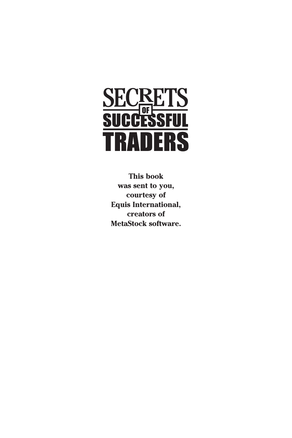

**This book was sent to you, courtesy of Equis International, creators of MetaStock software.**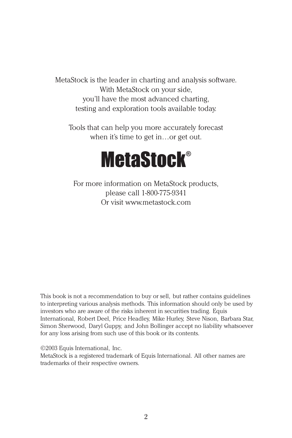MetaStock is the leader in charting and analysis software. With MetaStock on your side, you'll have the most advanced charting, testing and exploration tools available today.

Tools that can help you more accurately forecast when it's time to get in…or get out.



For more information on MetaStock products, please call 1-800-775-9341 Or visit www.metastock.com

This book is not a recommendation to buy or sell, but rather contains guidelines to interpreting various analysis methods. This information should only be used by investors who are aware of the risks inherent in securities trading. Equis International, Robert Deel, Price Headley, Mike Hurley, Steve Nison, Barbara Star, Simon Sherwood, Daryl Guppy, and John Bollinger accept no liability whatsoever for any loss arising from such use of this book or its contents.

©2003 Equis International, Inc.

MetaStock is a registered trademark of Equis International. All other names are trademarks of their respective owners.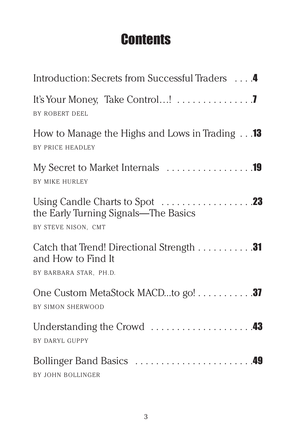# **Contents**

| Introduction: Secrets from Successful Traders 4                                           |  |
|-------------------------------------------------------------------------------------------|--|
| It's Your Money, Take Control! 7<br>BY ROBERT DEEL                                        |  |
| How to Manage the Highs and Lows in Trading $\ldots$ 13<br>BY PRICE HEADLEY               |  |
| My Secret to Market Internals 19<br>BY MIKE HURLEY                                        |  |
| the Early Turning Signals—The Basics<br>BY STEVE NISON, CMT                               |  |
| Catch that Trend! Directional Strength 31<br>and How to Find It<br>BY BARBARA STAR, PH.D. |  |
| One Custom MetaStock MACDto go! 37<br>BY SIMON SHERWOOD                                   |  |
| BY DARYL GUPPY                                                                            |  |
| BY JOHN BOLLINGER                                                                         |  |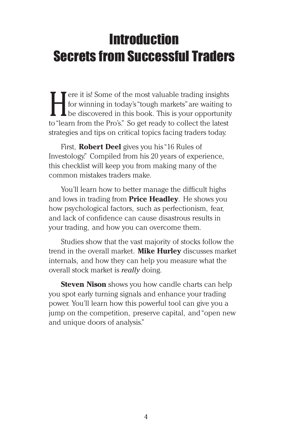# **Introduction** Secrets from Successful Traders

Fere it is! Some of the most valuable trading insights<br>for winning in today's "tough markets" are waiting to<br>be discovered in this book. This is your opportunity<br>to "learn from the Pro's". So get ready to collect the lates for winning in today's "tough markets"are waiting to be discovered in this book. This is your opportunity to "learn from the Pro's." So get ready to collect the latest strategies and tips on critical topics facing traders today.

First, **Robert Deel** gives you his "16 Rules of Investology." Compiled from his 20 years of experience, this checklist will keep you from making many of the common mistakes traders make.

You'll learn how to better manage the difficult highs and lows in trading from **Price Headley**. He shows you how psychological factors, such as perfectionism, fear, and lack of confidence can cause disastrous results in your trading, and how you can overcome them.

Studies show that the vast majority of stocks follow the trend in the overall market. **Mike Hurley** discusses market internals, and how they can help you measure what the overall stock market is *really* doing.

**Steven Nison** shows you how candle charts can help you spot early turning signals and enhance your trading power. You'll learn how this powerful tool can give you a jump on the competition, preserve capital, and "open new and unique doors of analysis."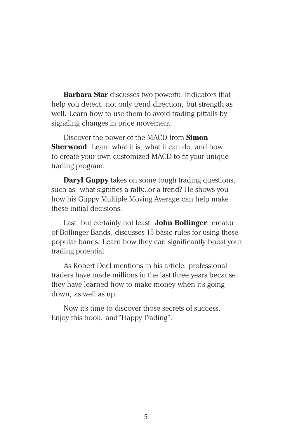**Barbara Star** discusses two powerful indicators that help you detect, not only trend direction, but strength as well. Learn how to use them to avoid trading pitfalls by signaling changes in price movement.

Discover the power of the MACD from **Simon Sherwood**. Learn what it is, what it can do, and how to create your own customized MACD to fit your unique trading program.

**Daryl Guppy** takes on some tough trading questions, such as, what signifies a rally...or a trend? He shows you how his Guppy Multiple Moving Average can help make these initial decisions.

Last, but certainly not least, **John Bollinger**, creator of Bollinger Bands, discusses 15 basic rules for using these popular bands. Learn how they can significantly boost your trading potential.

As Robert Deel mentions in his article, professional traders have made millions in the last three years because they have learned how to make money when it's going down, as well as up.

Now it's time to discover those secrets of success. Enjoy this book, and "Happy Trading".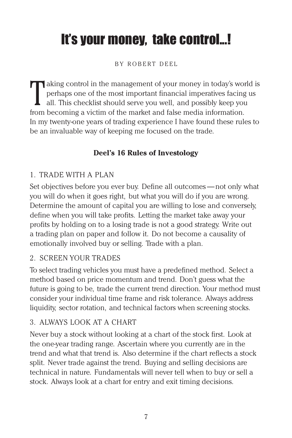# It's your money, take control...!

#### BY ROBERT DEEL

T aking control in the management of your money in today's world is<br>perhaps one of the most important financial imperatives facing us<br>all. This checklist should serve you well, and possibly keep you<br>from becoming a victim perhaps one of the most important financial imperatives facing us all. This checklist should serve you well, and possibly keep you from becoming a victim of the market and false media information. In my twenty-one years of trading experience I have found these rules to be an invaluable way of keeping me focused on the trade.

# **Deel's 16 Rules of Investology**

#### 1. TRADE WITH A PLAN

Set objectives before you ever buy. Define all outcomes — not only what you will do when it goes right, but what you will do if you are wrong. Determine the amount of capital you are willing to lose and conversely, define when you will take profits. Letting the market take away your profits by holding on to a losing trade is not a good strategy. Write out a trading plan on paper and follow it. Do not become a causality of emotionally involved buy or selling. Trade with a plan.

## 2. SCREEN YOUR TRADES

To select trading vehicles you must have a predefined method. Select a method based on price momentum and trend. Don't guess what the future is going to be, trade the current trend direction. Your method must consider your individual time frame and risk tolerance. Always address liquidity, sector rotation, and technical factors when screening stocks.

## 3. ALWAYS LOOK AT A CHART

Never buy a stock without looking at a chart of the stock first. Look at the one-year trading range. Ascertain where you currently are in the trend and what that trend is. Also determine if the chart reflects a stock split. Never trade against the trend. Buying and selling decisions are technical in nature. Fundamentals will never tell when to buy or sell a stock. Always look at a chart for entry and exit timing decisions.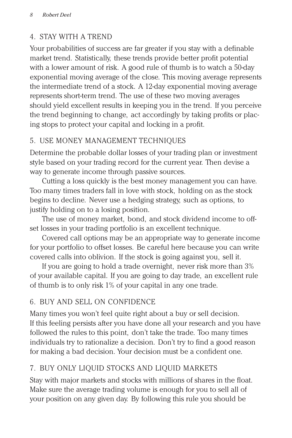# 4. STAY WITH A TREND

Your probabilities of success are far greater if you stay with a definable market trend. Statistically, these trends provide better profit potential with a lower amount of risk. A good rule of thumb is to watch a 50-day exponential moving average of the close. This moving average represents the intermediate trend of a stock. A 12-day exponential moving average represents short-term trend. The use of these two moving averages should yield excellent results in keeping you in the trend. If you perceive the trend beginning to change, act accordingly by taking profits or placing stops to protect your capital and locking in a profit.

# 5. USE MONEY MANAGEMENT TECHNIQUES

Determine the probable dollar losses of your trading plan or investment style based on your trading record for the current year. Then devise a way to generate income through passive sources.

Cutting a loss quickly is the best money management you can have. Too many times traders fall in love with stock, holding on as the stock begins to decline. Never use a hedging strategy, such as options, to justify holding on to a losing position.

The use of money market, bond, and stock dividend income to offset losses in your trading portfolio is an excellent technique.

Covered call options may be an appropriate way to generate income for your portfolio to offset losses. Be careful here because you can write covered calls into oblivion. If the stock is going against you, sell it.

If you are going to hold a trade overnight, never risk more than 3% of your available capital. If you are going to day trade, an excellent rule of thumb is to only risk 1% of your capital in any one trade.

# 6. BUY AND SELL ON CONFIDENCE

Many times you won't feel quite right about a buy or sell decision. If this feeling persists after you have done all your research and you have followed the rules to this point, don't take the trade. Too many times individuals try to rationalize a decision. Don't try to find a good reason for making a bad decision. Your decision must be a confident one.

# 7. BUY ONLY LIQUID STOCKS AND LIQUID MARKETS

Stay with major markets and stocks with millions of shares in the float. Make sure the average trading volume is enough for you to sell all of your position on any given day. By following this rule you should be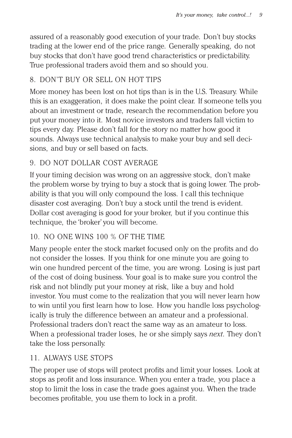assured of a reasonably good execution of your trade. Don't buy stocks trading at the lower end of the price range. Generally speaking, do not buy stocks that don't have good trend characteristics or predictability. True professional traders avoid them and so should you.

## 8. DON'T BUY OR SELL ON HOT TIPS

More money has been lost on hot tips than is in the U.S. Treasury. While this is an exaggeration, it does make the point clear. If someone tells you about an investment or trade, research the recommendation before you put your money into it. Most novice investors and traders fall victim to tips every day. Please don't fall for the story no matter how good it sounds. Always use technical analysis to make your buy and sell decisions, and buy or sell based on facts.

## 9. DO NOT DOLLAR COST AVERAGE

If your timing decision was wrong on an aggressive stock, don't make the problem worse by trying to buy a stock that is going lower. The probability is that you will only compound the loss. I call this technique disaster cost averaging. Don't buy a stock until the trend is evident. Dollar cost averaging is good for your broker, but if you continue this technique, the 'broker' you will become.

## 10. NO ONE WINS 100 % OF THE TIME

Many people enter the stock market focused only on the profits and do not consider the losses. If you think for one minute you are going to win one hundred percent of the time, you are wrong. Losing is just part of the cost of doing business. Your goal is to make sure you control the risk and not blindly put your money at risk, like a buy and hold investor. You must come to the realization that you will never learn how to win until you first learn how to lose. How you handle loss psychologically is truly the difference between an amateur and a professional. Professional traders don't react the same way as an amateur to loss. When a professional trader loses, he or she simply says *next*. They don't take the loss personally.

## 11. ALWAYS USE STOPS

The proper use of stops will protect profits and limit your losses. Look at stops as profit and loss insurance. When you enter a trade, you place a stop to limit the loss in case the trade goes against you. When the trade becomes profitable, you use them to lock in a profit.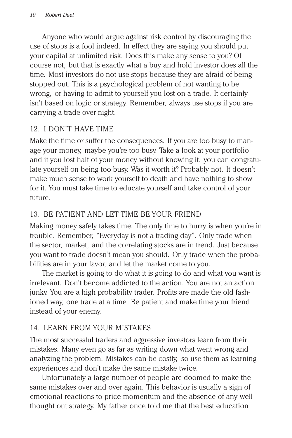Anyone who would argue against risk control by discouraging the use of stops is a fool indeed. In effect they are saying you should put your capital at unlimited risk. Does this make any sense to you? Of course not, but that is exactly what a buy and hold investor does all the time. Most investors do not use stops because they are afraid of being stopped out. This is a psychological problem of not wanting to be wrong, or having to admit to yourself you lost on a trade. It certainly isn't based on logic or strategy. Remember, always use stops if you are carrying a trade over night.

## 12. I DON'T HAVE TIME

Make the time or suffer the consequences. If you are too busy to manage your money, maybe you're too busy. Take a look at your portfolio and if you lost half of your money without knowing it, you can congratulate yourself on being too busy. Was it worth it? Probably not. It doesn't make much sense to work yourself to death and have nothing to show for it. You must take time to educate yourself and take control of your future.

# 13. BE PATIENT AND LET TIME BE YOUR FRIEND

Making money safely takes time. The only time to hurry is when you're in trouble. Remember, "Everyday is not a trading day". Only trade when the sector, market, and the correlating stocks are in trend. Just because you want to trade doesn't mean you should. Only trade when the probabilities are in your favor, and let the market come to you.

The market is going to do what it is going to do and what you want is irrelevant. Don't become addicted to the action. You are not an action junky. You are a high probability trader. Profits are made the old fashioned way, one trade at a time. Be patient and make time your friend instead of your enemy.

# 14. LEARN FROM YOUR MISTAKES

The most successful traders and aggressive investors learn from their mistakes. Many even go as far as writing down what went wrong and analyzing the problem. Mistakes can be costly, so use them as learning experiences and don't make the same mistake twice.

Unfortunately a large number of people are doomed to make the same mistakes over and over again. This behavior is usually a sign of emotional reactions to price momentum and the absence of any well thought out strategy. My father once told me that the best education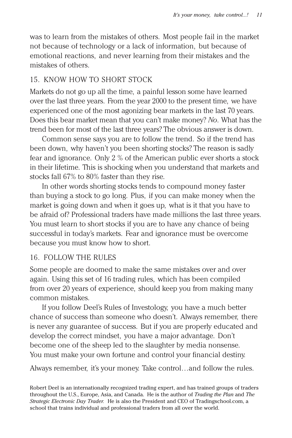was to learn from the mistakes of others. Most people fail in the market not because of technology or a lack of information, but because of emotional reactions, and never learning from their mistakes and the mistakes of others.

#### 15. KNOW HOW TO SHORT STOCK

Markets do not go up all the time, a painful lesson some have learned over the last three years. From the year 2000 to the present time, we have experienced one of the most agonizing bear markets in the last 70 years. Does this bear market mean that you can't make money? *No*. What has the trend been for most of the last three years? The obvious answer is down.

Common sense says you are to follow the trend. So if the trend has been down, why haven't you been shorting stocks? The reason is sadly fear and ignorance. Only 2 % of the American public ever shorts a stock in their lifetime. This is shocking when you understand that markets and stocks fall 67% to 80% faster than they rise.

In other words shorting stocks tends to compound money faster than buying a stock to go long. Plus, if you can make money when the market is going down and when it goes up, what is it that you have to be afraid of? Professional traders have made millions the last three years. You must learn to short stocks if you are to have any chance of being successful in today's markets. Fear and ignorance must be overcome because you must know how to short.

#### 16. FOLLOW THE RULES

Some people are doomed to make the same mistakes over and over again. Using this set of 16 trading rules, which has been compiled from over 20 years of experience, should keep you from making many common mistakes.

If you follow Deel's Rules of Investology, you have a much better chance of success than someone who doesn't. Always remember, there is never any guarantee of success. But if you are properly educated and develop the correct mindset, you have a major advantage. Don't become one of the sheep led to the slaughter by media nonsense. You must make your own fortune and control your financial destiny.

Always remember, it's your money. Take control…and follow the rules.

Robert Deel is an internationally recognized trading expert, and has trained groups of traders throughout the U.S., Europe, Asia, and Canada. He is the author of *Trading the Plan* and *The Strategic Electronic Day Trader.* He is also the President and CEO of Tradingschool.com, a school that trains individual and professional traders from all over the world.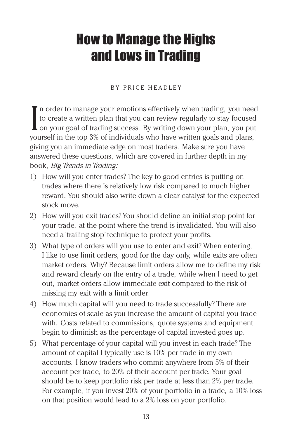# How to Manage the Highs and Lows in Trading

#### BY PRICE HEADLEY

I  $\blacksquare$  n order to manage your emotions effectively when trading, you need to create a written plan that you can review regularly to stay focused on your goal of trading success. By writing down your plan, you put yourself in the top 3% of individuals who have written goals and plans, giving you an immediate edge on most traders. Make sure you have answered these questions, which are covered in further depth in my book, *Big Trends in Trading:*

- 1) How will you enter trades? The key to good entries is putting on trades where there is relatively low risk compared to much higher reward. You should also write down a clear catalyst for the expected stock move.
- 2) How will you exit trades? You should define an initial stop point for your trade, at the point where the trend is invalidated. You will also need a 'trailing stop' technique to protect your profits.
- 3) What type of orders will you use to enter and exit? When entering, I like to use limit orders, good for the day only, while exits are often market orders. Why? Because limit orders allow me to define my risk and reward clearly on the entry of a trade, while when I need to get out, market orders allow immediate exit compared to the risk of missing my exit with a limit order.
- 4) How much capital will you need to trade successfully? There are economies of scale as you increase the amount of capital you trade with. Costs related to commissions, quote systems and equipment begin to diminish as the percentage of capital invested goes up.
- 5) What percentage of your capital will you invest in each trade? The amount of capital I typically use is 10% per trade in my own accounts. I know traders who commit anywhere from 5% of their account per trade, to 20% of their account per trade. Your goal should be to keep portfolio risk per trade at less than 2% per trade. For example, if you invest 20% of your portfolio in a trade, a 10% loss on that position would lead to a 2% loss on your portfolio.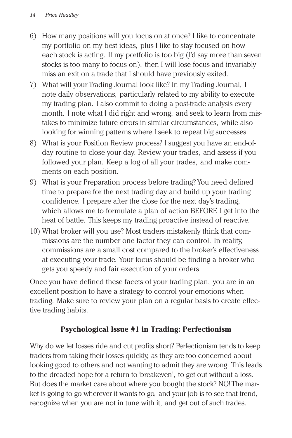- 6) How many positions will you focus on at once? I like to concentrate my portfolio on my best ideas, plus I like to stay focused on how each stock is acting. If my portfolio is too big (I'd say more than seven stocks is too many to focus on), then I will lose focus and invariably miss an exit on a trade that I should have previously exited.
- 7) What will your Trading Journal look like? In my Trading Journal, I note daily observations, particularly related to my ability to execute my trading plan. I also commit to doing a post-trade analysis every month. I note what I did right and wrong, and seek to learn from mistakes to minimize future errors in similar circumstances, while also looking for winning patterns where I seek to repeat big successes.
- 8) What is your Position Review process? I suggest you have an end-ofday routine to close your day. Review your trades, and assess if you followed your plan. Keep a log of all your trades, and make comments on each position.
- 9) What is your Preparation process before trading? You need defined time to prepare for the next trading day and build up your trading confidence. I prepare after the close for the next day's trading, which allows me to formulate a plan of action BEFORE I get into the heat of battle. This keeps my trading proactive instead of reactive.
- 10) What broker will you use? Most traders mistakenly think that commissions are the number one factor they can control. In reality, commissions are a small cost compared to the broker's effectiveness at executing your trade. Your focus should be finding a broker who gets you speedy and fair execution of your orders.

Once you have defined these facets of your trading plan, you are in an excellent position to have a strategy to control your emotions when trading. Make sure to review your plan on a regular basis to create effective trading habits.

## **Psychological Issue #1 in Trading: Perfectionism**

Why do we let losses ride and cut profits short? Perfectionism tends to keep traders from taking their losses quickly, as they are too concerned about looking good to others and not wanting to admit they are wrong. This leads to the dreaded hope for a return to 'breakeven', to get out without a loss. But does the market care about where you bought the stock? NO! The market is going to go wherever it wants to go, and your job is to see that trend, recognize when you are not in tune with it, and get out of such trades.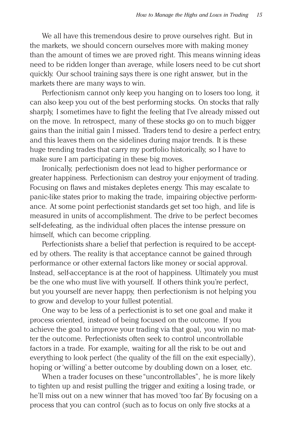We all have this tremendous desire to prove ourselves right. But in the markets, we should concern ourselves more with making money than the amount of times we are proved right. This means winning ideas need to be ridden longer than average, while losers need to be cut short quickly. Our school training says there is one right answer, but in the markets there are many ways to win.

Perfectionism cannot only keep you hanging on to losers too long, it can also keep you out of the best performing stocks. On stocks that rally sharply, I sometimes have to fight the feeling that I've already missed out on the move. In retrospect, many of these stocks go on to much bigger gains than the initial gain I missed. Traders tend to desire a perfect entry, and this leaves them on the sidelines during major trends. It is these huge trending trades that carry my portfolio historically, so I have to make sure I am participating in these big moves.

Ironically, perfectionism does not lead to higher performance or greater happiness. Perfectionism can destroy your enjoyment of trading. Focusing on flaws and mistakes depletes energy. This may escalate to panic-like states prior to making the trade, impairing objective performance. At some point perfectionist standards get set too high, and life is measured in units of accomplishment. The drive to be perfect becomes self-defeating, as the individual often places the intense pressure on himself, which can become crippling.

Perfectionists share a belief that perfection is required to be accepted by others. The reality is that acceptance cannot be gained through performance or other external factors like money or social approval. Instead, self-acceptance is at the root of happiness. Ultimately you must be the one who must live with yourself. If others think you're perfect, but you yourself are never happy, then perfectionism is not helping you to grow and develop to your fullest potential.

One way to be less of a perfectionist is to set one goal and make it process oriented, instead of being focused on the outcome. If you achieve the goal to improve your trading via that goal, you win no matter the outcome. Perfectionists often seek to control uncontrollable factors in a trade. For example, waiting for all the risk to be out and everything to look perfect (the quality of the fill on the exit especially), hoping or 'willing' a better outcome by doubling down on a loser, etc.

When a trader focuses on these "uncontrollables", he is more likely to tighten up and resist pulling the trigger and exiting a losing trade, or he'll miss out on a new winner that has moved 'too far.' By focusing on a process that you can control (such as to focus on only five stocks at a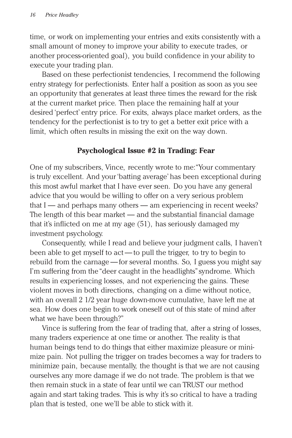time, or work on implementing your entries and exits consistently with a small amount of money to improve your ability to execute trades, or another process-oriented goal), you build confidence in your ability to execute your trading plan.

Based on these perfectionist tendencies, I recommend the following entry strategy for perfectionists. Enter half a position as soon as you see an opportunity that generates at least three times the reward for the risk at the current market price. Then place the remaining half at your desired 'perfect' entry price. For exits, always place market orders, as the tendency for the perfectionist is to try to get a better exit price with a limit, which often results in missing the exit on the way down.

#### **Psychological Issue #2 in Trading: Fear**

One of my subscribers, Vince, recently wrote to me:"Your commentary is truly excellent. And your 'batting average' has been exceptional during this most awful market that I have ever seen. Do you have any general advice that you would be willing to offer on a very serious problem that  $I$  — and perhaps many others — am experiencing in recent weeks? The length of this bear market — and the substantial financial damage that it's inflicted on me at my age (51), has seriously damaged my investment psychology.

Consequently, while I read and believe your judgment calls, I haven't been able to get myself to act — to pull the trigger, to try to begin to rebuild from the carnage — for several months. So, I guess you might say I'm suffering from the "deer caught in the headlights" syndrome. Which results in experiencing losses, and not experiencing the gains. These violent moves in both directions, changing on a dime without notice, with an overall 2 1/2 year huge down-move cumulative, have left me at sea. How does one begin to work oneself out of this state of mind after what we have been through?"

Vince is suffering from the fear of trading that, after a string of losses, many traders experience at one time or another. The reality is that human beings tend to do things that either maximize pleasure or minimize pain. Not pulling the trigger on trades becomes a way for traders to minimize pain, because mentally, the thought is that we are not causing ourselves any more damage if we do not trade. The problem is that we then remain stuck in a state of fear until we can TRUST our method again and start taking trades. This is why it's so critical to have a trading plan that is tested, one we'll be able to stick with it.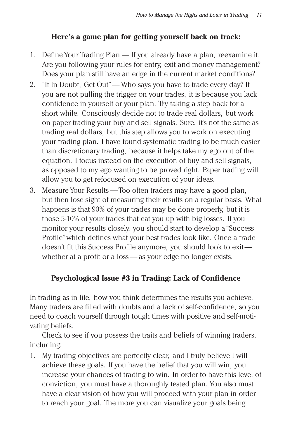## **Here's a game plan for getting yourself back on track:**

- 1. Define Your Trading Plan If you already have a plan, reexamine it. Are you following your rules for entry, exit and money management? Does your plan still have an edge in the current market conditions?
- 2. "If In Doubt, Get Out"— Who says you have to trade every day? If you are not pulling the trigger on your trades, it is because you lack confidence in yourself or your plan. Try taking a step back for a short while. Consciously decide not to trade real dollars, but work on paper trading your buy and sell signals. Sure, it's not the same as trading real dollars, but this step allows you to work on executing your trading plan. I have found systematic trading to be much easier than discretionary trading, because it helps take my ego out of the equation. I focus instead on the execution of buy and sell signals, as opposed to my ego wanting to be proved right. Paper trading will allow you to get refocused on execution of your ideas.
- 3. Measure Your Results —Too often traders may have a good plan, but then lose sight of measuring their results on a regular basis. What happens is that 90% of your trades may be done properly, but it is those 5-10% of your trades that eat you up with big losses. If you monitor your results closely, you should start to develop a "Success Profile"which defines what your best trades look like. Once a trade doesn't fit this Success Profile anymore, you should look to exit whether at a profit or a loss — as your edge no longer exists.

## **Psychological Issue #3 in Trading: Lack of Confidence**

In trading as in life, how you think determines the results you achieve. Many traders are filled with doubts and a lack of self-confidence, so you need to coach yourself through tough times with positive and self-motivating beliefs.

Check to see if you possess the traits and beliefs of winning traders, including:

1. My trading objectives are perfectly clear, and I truly believe I will achieve these goals. If you have the belief that you will win, you increase your chances of trading to win. In order to have this level of conviction, you must have a thoroughly tested plan. You also must have a clear vision of how you will proceed with your plan in order to reach your goal. The more you can visualize your goals being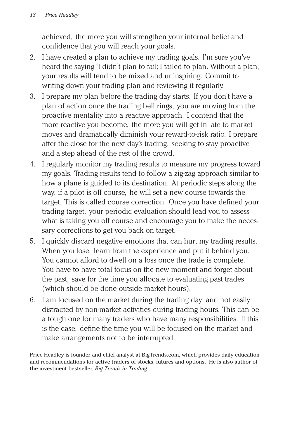achieved, the more you will strengthen your internal belief and confidence that you will reach your goals.

- 2. I have created a plan to achieve my trading goals. I'm sure you've heard the saying "I didn't plan to fail; I failed to plan."Without a plan, your results will tend to be mixed and uninspiring. Commit to writing down your trading plan and reviewing it regularly.
- 3. I prepare my plan before the trading day starts. If you don't have a plan of action once the trading bell rings, you are moving from the proactive mentality into a reactive approach. I contend that the more reactive you become, the more you will get in late to market moves and dramatically diminish your reward-to-risk ratio. I prepare after the close for the next day's trading, seeking to stay proactive and a step ahead of the rest of the crowd.
- 4. I regularly monitor my trading results to measure my progress toward my goals. Trading results tend to follow a zig-zag approach similar to how a plane is guided to its destination. At periodic steps along the way, if a pilot is off course, he will set a new course towards the target. This is called course correction. Once you have defined your trading target, your periodic evaluation should lead you to assess what is taking you off course and encourage you to make the necessary corrections to get you back on target.
- 5. I quickly discard negative emotions that can hurt my trading results. When you lose, learn from the experience and put it behind you. You cannot afford to dwell on a loss once the trade is complete. You have to have total focus on the new moment and forget about the past, save for the time you allocate to evaluating past trades (which should be done outside market hours).
- 6. I am focused on the market during the trading day, and not easily distracted by non-market activities during trading hours. This can be a tough one for many traders who have many responsibilities. If this is the case, define the time you will be focused on the market and make arrangements not to be interrupted.

Price Headley is founder and chief analyst at BigTrends.com, which provides daily education and recommendations for active traders of stocks, futures and options. He is also author of the investment bestseller, *Big Trends in Trading.*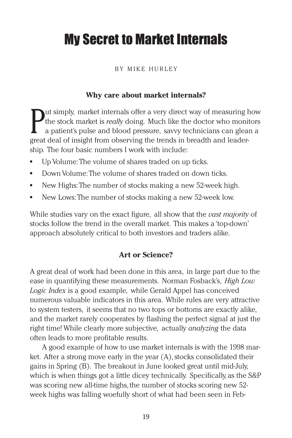# My Secret to Market Internals

#### BY MIKE HURLEY

#### **Why care about market internals?**

**Put simply, market internals offer a very direct way of measuring h** the stock market is *really* doing. Much like the doctor who monit a patient's pulse and blood pressure, savvy technicians can gleagreat deal of insight ut simply, market internals offer a very direct way of measuring how the stock market is *really* doing. Much like the doctor who monitors a patient's pulse and blood pressure, savvy technicians can glean a ship. The four basic numbers I work with include:

- **•** Up Volume:The volume of shares traded on up ticks.
- **•** Down Volume:The volume of shares traded on down ticks.
- **•** New Highs:The number of stocks making a new 52-week high.
- **•** New Lows:The number of stocks making a new 52-week low.

While studies vary on the exact figure, all show that the *vast majority* of stocks follow the trend in the overall market. This makes a 'top-down' approach absolutely critical to both investors and traders alike.

#### **Art or Science?**

A great deal of work had been done in this area, in large part due to the ease in quantifying these measurements. Norman Fosback's, *High Low Logic Index* is a good example, while Gerald Appel has conceived numerous valuable indicators in this area. While rules are very attractive to system testers, it seems that no two tops or bottoms are exactly alike, and the market rarely cooperates by flashing the perfect signal at just the right time! While clearly more subjective, actually *analyzing* the data often leads to more profitable results.

A good example of how to use market internals is with the 1998 market. After a strong move early in the year (A), stocks consolidated their gains in Spring (B). The breakout in June looked great until mid-July, which is when things got a little dicey technically. Specifically, as the S&P was scoring new all-time highs, the number of stocks scoring new 52 week highs was falling woefully short of what had been seen in Feb-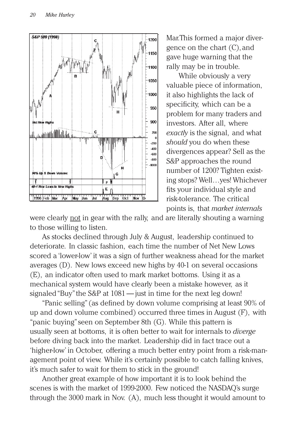

Mar.This formed a major divergence on the chart (C), and gave huge warning that the rally may be in trouble.

While obviously a very valuable piece of information, it also highlights the lack of specificity, which can be a problem for many traders and investors. After all, where *exactly* is the signal, and what *should* you do when these divergences appear? Sell as the S&P approaches the round number of 1200? Tighten existing stops? Well…yes! Whichever fits your individual style and risk-tolerance. The critical points is, that *market internals*

were clearly not in gear with the rally, and are literally shouting a warning to those willing to listen.

As stocks declined through July & August, leadership continued to deteriorate. In classic fashion, each time the number of Net New Lows scored a 'lower-low' it was a sign of further weakness ahead for the market averages (D). New lows exceed new highs by 40-1 on several occasions (E), an indicator often used to mark market bottoms. Using it as a mechanical system would have clearly been a mistake however, as it signaled "Buy" the S&P at 1081 — just in time for the next leg down!

"Panic selling"(as defined by down volume comprising at least 90% of up and down volume combined) occurred three times in August (F), with "panic buying"seen on September 8th (G). While this pattern is usually seen at bottoms, it is often better to wait for internals to *diverge* before diving back into the market. Leadership did in fact trace out a 'higher-low' in October, offering a much better entry point from a risk-management point of view. While it's certainly possible to catch falling knives, it's much safer to wait for them to stick in the ground!

Another great example of how important it is to look behind the scenes is with the market of 1999-2000. Few noticed the NASDAQ's surge through the 3000 mark in Nov. (A), much less thought it would amount to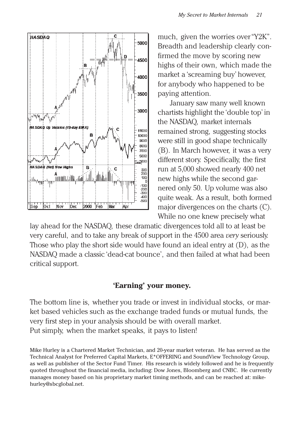

much, given the worries over "Y2K". Breadth and leadership clearly confirmed the move by scoring new highs of their own, which made the market a 'screaming buy' however, for anybody who happened to be paying attention.

January saw many well known chartists highlight the 'double top' in the NASDAQ, market internals remained strong, suggesting stocks were still in good shape technically (B). In March however, it was a very different story. Specifically, the first run at 5,000 showed nearly 400 net new highs while the second garnered only 50. Up volume was also quite weak. As a result, both formed major divergences on the charts (C). While no one knew precisely what

lay ahead for the NASDAQ, these dramatic divergences told all to at least be very careful, and to take any break of support in the 4500 area *very* seriously. Those who play the short side would have found an ideal entry at (D), as the NASDAQ made a classic 'dead-cat bounce', and then failed at what had been critical support.

#### **'Earning' your money.**

The bottom line is, whether you trade or invest in individual stocks, or market based vehicles such as the exchange traded funds or mutual funds, the very first step in your analysis should be with overall market. Put simply, when the market speaks, it pays to listen!

Mike Hurley is a Chartered Market Technician, and 20-year market veteran. He has served as the Technical Analyst for Preferred Capital Markets, E\*OFFERING and SoundView Technology Group, as well as publisher of the Sector Fund Timer. His research is widely followed and he is frequently quoted throughout the financial media, including: Dow Jones, Bloomberg and CNBC. He currently manages money based on his proprietary market timing methods, and can be reached at: mikehurley@sbcglobal.net.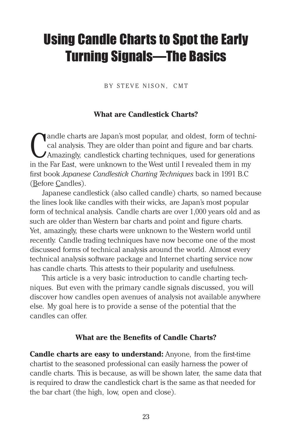# Using Candle Charts to Spot the Early Turning Signals—The Basics

BY STEVE NISON, CMT

#### **What are Candlestick Charts?**

Canalle charts are Japan's most popular, and oldest, form of technical analysis. They are older than point and figure and bar charts Amazingly, candlestick charting techniques, used for generation in the Far East, were unk andle charts are Japan's most popular, and oldest, form of technical analysis. They are older than point and figure and bar charts. Amazingly, candlestick charting techniques, used for generations first book *Japanese Candlestick Charting Techniques* back in 1991 B.C (Before Candles).

Japanese candlestick (also called candle) charts, so named because the lines look like candles with their wicks, are Japan's most popular form of technical analysis. Candle charts are over 1,000 years old and as such are older than Western bar charts and point and figure charts. Yet, amazingly, these charts were unknown to the Western world until recently. Candle trading techniques have now become one of the most discussed forms of technical analysis around the world. Almost every technical analysis software package and Internet charting service now has candle charts. This attests to their popularity and usefulness.

This article is a very basic introduction to candle charting techniques. But even with the primary candle signals discussed, you will discover how candles open avenues of analysis not available anywhere else. My goal here is to provide a sense of the potential that the candles can offer.

#### **What are the Benefits of Candle Charts?**

**Candle charts are easy to understand:** Anyone, from the first-time chartist to the seasoned professional can easily harness the power of candle charts. This is because, as will be shown later, the same data that is required to draw the candlestick chart is the same as that needed for the bar chart (the high, low, open and close).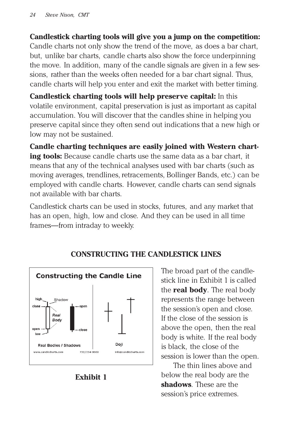**Candlestick charting tools will give you a jump on the competition:** Candle charts not only show the trend of the move, as does a bar chart, but, unlike bar charts, candle charts also show the force underpinning the move. In addition, many of the candle signals are given in a few sessions, rather than the weeks often needed for a bar chart signal. Thus, candle charts will help you enter and exit the market with better timing.

**Candlestick charting tools will help preserve capital:** In this volatile environment, capital preservation is just as important as capital accumulation. You will discover that the candles shine in helping you preserve capital since they often send out indications that a new high or low may not be sustained.

**Candle charting techniques are easily joined with Western charting tools:** Because candle charts use the same data as a bar chart, it means that any of the technical analyses used with bar charts (such as moving averages, trendlines, retracements, Bollinger Bands, etc.) can be employed with candle charts. However, candle charts can send signals not available with bar charts.

Candlestick charts can be used in stocks, futures, and any market that has an open, high, low and close. And they can be used in all time frames—from intraday to weekly.



# **CONSTRUCTING THE CANDLESTICK LINES**

The broad part of the candlestick line in Exhibit 1 is called the **real body**. The real body represents the range between the session's open and close. If the close of the session is above the open, then the real body is white. If the real body is black, the close of the session is lower than the open.

The thin lines above and below the real body are the **shadows**. These are the session's price extremes.

**Exhibit 1**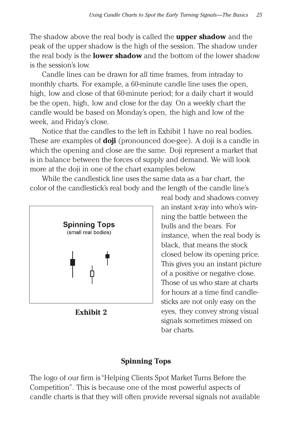The shadow above the real body is called the **upper shadow** and the peak of the upper shadow is the high of the session. The shadow under the real body is the **lower shadow** and the bottom of the lower shadow is the session's low.

Candle lines can be drawn for all time frames, from intraday to monthly charts. For example, a 60-minute candle line uses the open, high, low and close of that 60-minute period; for a daily chart it would be the open, high, low and close for the day. On a weekly chart the candle would be based on Monday's open, the high and low of the week, and Friday's close.

Notice that the candles to the left in Exhibit 1 have no real bodies. These are examples of **doji** (pronounced doe-gee). A doji is a candle in which the opening and close are the same. Doji represent a market that is in balance between the forces of supply and demand. We will look more at the doji in one of the chart examples below.

While the candlestick line uses the same data as a bar chart, the color of the candlestick's real body and the length of the candle line's



**Exhibit 2**

real body and shadows convey an instant x-ray into who's winning the battle between the bulls and the bears. For instance, when the real body is black, that means the stock closed below its opening price. This gives you an instant picture of a positive or negative close. Those of us who stare at charts for hours at a time find candlesticks are not only easy on the eyes, they convey strong visual signals sometimes missed on bar charts.

## **Spinning Tops**

The logo of our firm is "Helping Clients Spot Market Turns Before the Competition". This is because one of the most powerful aspects of candle charts is that they will often provide reversal signals not available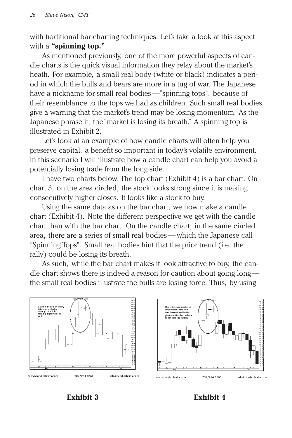with traditional bar charting techniques. Let's take a look at this aspect with a **"spinning top."**

As mentioned previously, one of the more powerful aspects of candle charts is the quick visual information they relay about the market's heath. For example, a small real body (white or black) indicates a period in which the bulls and bears are more in a tug of war. The Japanese have a nickname for small real bodies —"spinning tops", because of their resemblance to the tops we had as children. Such small real bodies give a warning that the market's trend may be losing momentum. As the Japanese phrase it, the "market is losing its breath." A spinning top is illustrated in Exhibit 2.

Let's look at an example of how candle charts will often help you preserve capital, a benefit so important in today's volatile environment. In this scenario I will illustrate how a candle chart can help you avoid a potentially losing trade from the long side.

I have two charts below. The top chart (Exhibit 4) is a bar chart. On chart 3, on the area circled, the stock looks strong since it is making consecutively higher closes. It looks like a stock to buy.

Using the same data as on the bar chart, we now make a candle chart (Exhibit 4). Note the different perspective we get with the candle chart than with the bar chart. On the candle chart, in the same circled area, there are a series of small real bodies — which the Japanese call "Spinning Tops". Small real bodies hint that the prior trend (i.e. the rally) could be losing its breath.

As such, while the bar chart makes it look attractive to buy, the candle chart shows there is indeed a reason for caution about going long the small real bodies illustrate the bulls are losing force. Thus, by using



**Exhibit 3 Exhibit 4**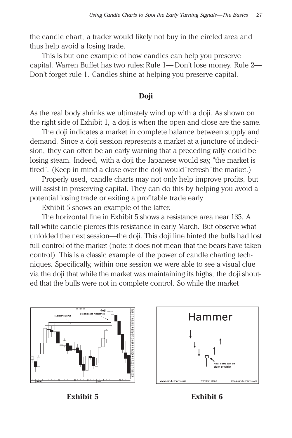the candle chart, a trader would likely not buy in the circled area and thus help avoid a losing trade.

This is but one example of how candles can help you preserve capital. Warren Buffet has two rules: Rule 1— Don't lose money. Rule 2— Don't forget rule 1. Candles shine at helping you preserve capital.

#### **Doji**

As the real body shrinks we ultimately wind up with a doji. As shown on the right side of Exhibit 1, a doji is when the open and close are the same.

The doji indicates a market in complete balance between supply and demand. Since a doji session represents a market at a juncture of indecision, they can often be an early warning that a preceding rally could be losing steam. Indeed, with a doji the Japanese would say, "the market is tired". (Keep in mind a close over the doji would "refresh" the market.)

Properly used, candle charts may not only help improve profits, but will assist in preserving capital. They can do this by helping you avoid a potential losing trade or exiting a profitable trade early.

Exhibit 5 shows an example of the latter.

The horizontal line in Exhibit 5 shows a resistance area near 135. A tall white candle pierces this resistance in early March. But observe what unfolded the next session—the doji. This doji line hinted the bulls had lost full control of the market (note: it does not mean that the bears have taken control). This is a classic example of the power of candle charting techniques. Specifically, within one session we were able to see a visual clue via the doji that while the market was maintaining its highs, the doji shouted that the bulls were not in complete control. So while the market



Hammer info@candlecharts.c

**Exhibit 5 Exhibit 6**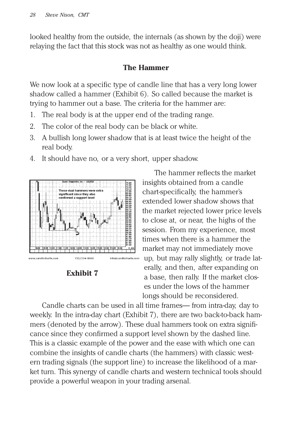looked healthy from the outside, the internals (as shown by the doji) were relaying the fact that this stock was not as healthy as one would think.

#### **The Hammer**

We now look at a specific type of candle line that has a very long lower shadow called a hammer (Exhibit 6). So called because the market is trying to hammer out a base. The criteria for the hammer are:

- 1. The real body is at the upper end of the trading range.
- 2. The color of the real body can be black or white.
- 3. A bullish long lower shadow that is at least twice the height of the real body.
- 4. It should have no, or a very short, upper shadow.





The hammer reflects the market insights obtained from a candle chart-specifically, the hammer's extended lower shadow shows that the market rejected lower price levels to close at, or near, the highs of the session. From my experience, most times when there is a hammer the market may not immediately move up, but may rally slightly, or trade laterally, and then, after expanding on a base, then rally. If the market closes under the lows of the hammer longs should be reconsidered.

Candle charts can be used in all time frames— from intra-day, day to weekly. In the intra-day chart (Exhibit 7), there are two back-to-back hammers (denoted by the arrow). These dual hammers took on extra significance since they confirmed a support level shown by the dashed line. This is a classic example of the power and the ease with which one can combine the insights of candle charts (the hammers) with classic western trading signals (the support line) to increase the likelihood of a market turn. This synergy of candle charts and western technical tools should provide a powerful weapon in your trading arsenal.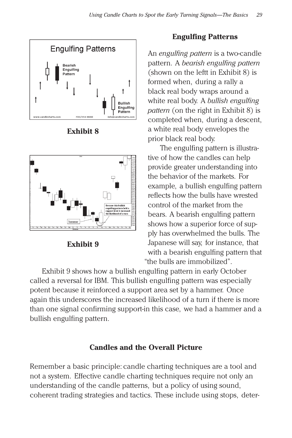

**Exhibit 8**



**Exhibit 9**

#### **Engulfing Patterns**

An *engulfing pattern* is a two-candle pattern. A *bearish engulfing pattern* (shown on the leftt in Exhibit 8) is formed when, during a rally a black real body wraps around a white real body. A *bullish engulfing pattern* (on the right in Exhibit 8) is completed when, during a descent, a white real body envelopes the prior black real body.

The engulfing pattern is illustrative of how the candles can help provide greater understanding into the behavior of the markets. For example, a bullish engulfing pattern reflects how the bulls have wrested control of the market from the bears. A bearish engulfing pattern shows how a superior force of supply has overwhelmed the bulls. The Japanese will say, for instance, that with a bearish engulfing pattern that "the bulls are immobilized".

Exhibit 9 shows how a bullish engulfing pattern in early October called a reversal for IBM. This bullish engulfing pattern was especially potent because it reinforced a support area set by a hammer. Once again this underscores the increased likelihood of a turn if there is more than one signal confirming support-in this case, we had a hammer and a bullish engulfing pattern.

## **Candles and the Overall Picture**

Remember a basic principle: candle charting techniques are a tool and not a system. Effective candle charting techniques require not only an understanding of the candle patterns, but a policy of using sound, coherent trading strategies and tactics. These include using stops, deter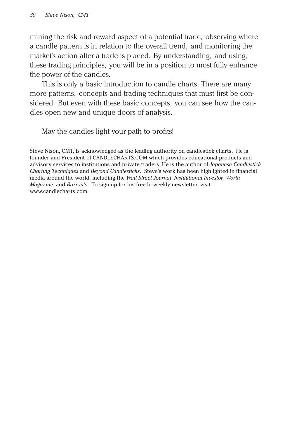mining the risk and reward aspect of a potential trade, observing where a candle pattern is in relation to the overall trend, and monitoring the market's action after a trade is placed. By understanding, and using, these trading principles, you will be in a position to most fully enhance the power of the candles.

This is only a basic introduction to candle charts. There are many more patterns, concepts and trading techniques that must first be considered. But even with these basic concepts, you can see how the candles open new and unique doors of analysis.

May the candles light your path to profits!

Steve Nison, CMT, is acknowledged as the leading authority on candlestick charts. He is founder and President of CANDLECHARTS.COM which provides educational products and advisory services to institutions and private traders. He is the author of *Japanese Candlestick Charting Techniques* and *Beyond Candlesticks*. Steve's work has been highlighted in financial media around the world, including the *Wall Street Journal*, *Institutional Investor, Worth Magazine*, and *Barron's*. To sign up for his free bi-weekly newsletter, visit www.candlecharts.com.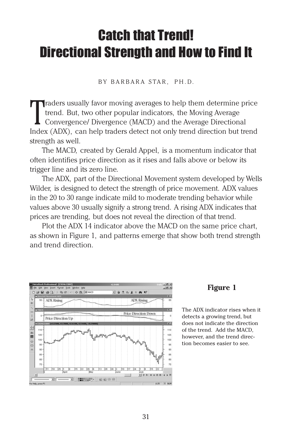# Catch that Trend! Directional Strength and How to Find It

BY BARBARA STAR, PH.D.

Traders usually favor moving averages to help them determine price trend. But, two other popular indicators, the Moving Average Convergence/ Divergence (MACD) and the Average Directional Index (ADX), can help traders detec  $\blacksquare$  raders usually favor moving averages to help them determine price trend. But, two other popular indicators, the Moving Average Convergence/ Divergence (MACD) and the Average Directional strength as well.

The MACD, created by Gerald Appel, is a momentum indicator that often identifies price direction as it rises and falls above or below its trigger line and its zero line.

The ADX, part of the Directional Movement system developed by Wells Wilder, is designed to detect the strength of price movement. ADX values in the 20 to 30 range indicate mild to moderate trending behavior while values above 30 usually signify a strong trend. A rising ADX indicates that prices are trending, but does not reveal the direction of that trend.

Plot the ADX 14 indicator above the MACD on the same price chart, as shown in Figure 1, and patterns emerge that show both trend strength and trend direction.



#### **Figure 1**

The ADX indicator rises when it detects a growing trend, but does not indicate the direction of the trend. Add the MACD, however, and the trend direction becomes easier to see.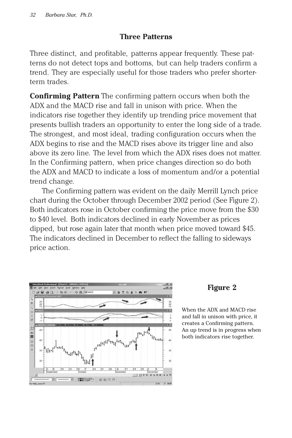## **Three Patterns**

Three distinct, and profitable, patterns appear frequently. These patterns do not detect tops and bottoms, but can help traders confirm a trend. They are especially useful for those traders who prefer shorterterm trades.

**Confirming Pattern** The confirming pattern occurs when both the ADX and the MACD rise and fall in unison with price. When the indicators rise together they identify up trending price movement that presents bullish traders an opportunity to enter the long side of a trade. The strongest, and most ideal, trading configuration occurs when the ADX begins to rise and the MACD rises above its trigger line and also above its zero line. The level from which the ADX rises does not matter. In the Confirming pattern, when price changes direction so do both the ADX and MACD to indicate a loss of momentum and/or a potential trend change.

The Confirming pattern was evident on the daily Merrill Lynch price chart during the October through December 2002 period (See Figure 2). Both indicators rose in October confirming the price move from the \$30 to \$40 level. Both indicators declined in early November as prices dipped, but rose again later that month when price moved toward \$45. The indicators declined in December to reflect the falling to sideways price action.



#### **Figure 2**

When the ADX and MACD rise and fall in unison with price, it creates a Confirming pattern. An up trend is in progress when both indicators rise together.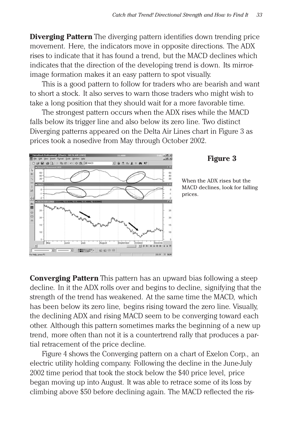**Diverging Pattern** The diverging pattern identifies down trending price movement. Here, the indicators move in opposite directions. The ADX rises to indicate that it has found a trend, but the MACD declines which indicates that the direction of the developing trend is down. Its mirrorimage formation makes it an easy pattern to spot visually.

This is a good pattern to follow for traders who are bearish and want to short a stock. It also serves to warn those traders who might wish to take a long position that they should wait for a more favorable time.

The strongest pattern occurs when the ADX rises while the MACD falls below its trigger line and also below its zero line. Two distinct Diverging patterns appeared on the Delta Air Lines chart in Figure 3 as prices took a nosedive from May through October 2002.



#### **Figure 3**

When the ADX rises but the MACD declines, look for falling prices.

**Converging Pattern** This pattern has an upward bias following a steep decline. In it the ADX rolls over and begins to decline, signifying that the strength of the trend has weakened. At the same time the MACD, which has been below its zero line, begins rising toward the zero line. Visually, the declining ADX and rising MACD seem to be converging toward each other. Although this pattern sometimes marks the beginning of a new up trend, more often than not it is a countertrend rally that produces a partial retracement of the price decline.

Figure 4 shows the Converging pattern on a chart of Exelon Corp., an electric utility holding company. Following the decline in the June-July 2002 time period that took the stock below the \$40 price level, price began moving up into August. It was able to retrace some of its loss by climbing above \$50 before declining again. The MACD reflected the ris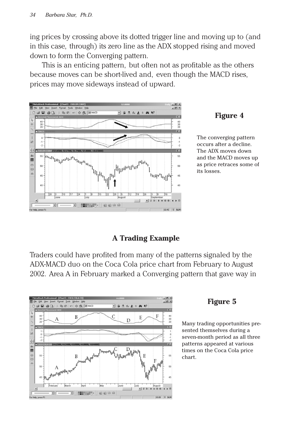ing prices by crossing above its dotted trigger line and moving up to (and in this case, through) its zero line as the ADX stopped rising and moved down to form the Converging pattern.

This is an enticing pattern, but often not as profitable as the others because moves can be short-lived and, even though the MACD rises, prices may move sideways instead of upward.



#### **Figure 4**

The converging pattern occurs after a decline. The ADX moves down and the MACD moves up as price retraces some of its losses.

#### **A Trading Example**

Traders could have profited from many of the patterns signaled by the ADX-MACD duo on the Coca Cola price chart from February to August 2002. Area A in February marked a Converging pattern that gave way in



#### **Figure 5**

Many trading opportunities presented themselves during a seven-month period as all three patterns appeared at various times on the Coca Cola price chart.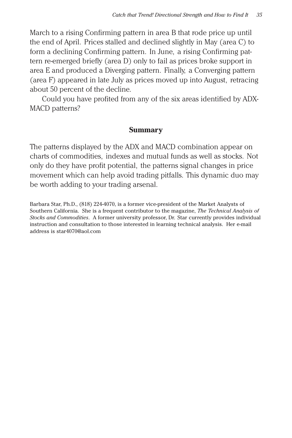March to a rising Confirming pattern in area B that rode price up until the end of April. Prices stalled and declined slightly in May (area C) to form a declining Confirming pattern. In June, a rising Confirming pattern re-emerged briefly (area D) only to fail as prices broke support in area E and produced a Diverging pattern. Finally, a Converging pattern (area F) appeared in late July as prices moved up into August, retracing about 50 percent of the decline.

Could you have profited from any of the six areas identified by ADX-MACD patterns?

#### **Summary**

The patterns displayed by the ADX and MACD combination appear on charts of commodities, indexes and mutual funds as well as stocks. Not only do they have profit potential, the patterns signal changes in price movement which can help avoid trading pitfalls. This dynamic duo may be worth adding to your trading arsenal.

Barbara Star, Ph.D., (818) 224-4070, is a former vice-president of the Market Analysts of Southern California. She is a frequent contributor to the magazine, *The Technical Analysis of Stocks and Commodities*. A former university professor, Dr. Star currently provides individual instruction and consultation to those interested in learning technical analysis. Her e-mail address is star4070@aol.com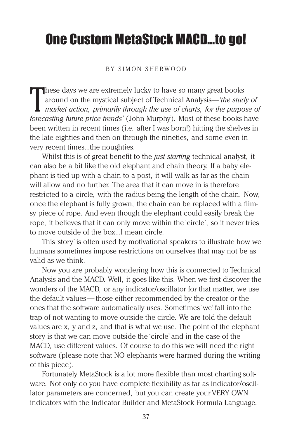# One Custom MetaStock MACD...to go!

#### BY SIMON SHERWOOD

 $\prod_{\text{force}}$ These days we are extremely lucky to have so many great books around on the mystical subject of Technical Analysis—*'the study of market action, primarily through the use of charts, for the purpose of forecasting future price trends'* (John Murphy). Most of these books have been written in recent times (i.e. after I was born!) hitting the shelves in the late eighties and then on through the nineties, and some even in very recent times...the noughties.

Whilst this is of great benefit to the *just starting* technical analyst, it can also be a bit like the old elephant and chain theory. If a baby elephant is tied up with a chain to a post, it will walk as far as the chain will allow and no further. The area that it can move in is therefore restricted to a circle, with the radius being the length of the chain. Now, once the elephant is fully grown, the chain can be replaced with a flimsy piece of rope. And even though the elephant could easily break the rope, it believes that it can only move within the 'circle', so it never tries to move outside of the box...I mean circle.

This 'story' is often used by motivational speakers to illustrate how we humans sometimes impose restrictions on ourselves that may not be as valid as we think.

Now you are probably wondering how this is connected to Technical Analysis and the MACD. Well, it goes like this. When we first discover the wonders of the MACD, or any indicator/oscillator for that matter, we use the default values — those either recommended by the creator or the ones that the software automatically uses. Sometimes 'we' fall into the trap of not wanting to move outside the circle. We are told the default values are x, y and z, and that is what we use. The point of the elephant story is that we can move outside the 'circle' and in the case of the MACD, use different values. Of course to do this we will need the right software (please note that NO elephants were harmed during the writing of this piece).

Fortunately MetaStock is a lot more flexible than most charting software. Not only do you have complete flexibility as far as indicator/oscillator parameters are concerned, but you can create your VERY OWN indicators with the Indicator Builder and MetaStock Formula Language.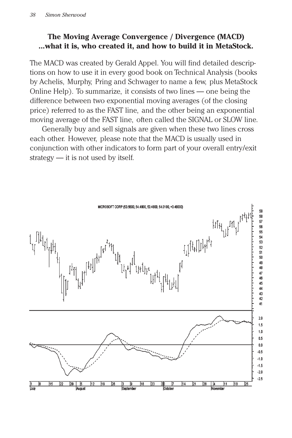## **The Moving Average Convergence / Divergence (MACD) ...what it is, who created it, and how to build it in MetaStock.**

The MACD was created by Gerald Appel. You will find detailed descriptions on how to use it in every good book on Technical Analysis (books by Achelis, Murphy, Pring and Schwager to name a few, plus MetaStock Online Help). To summarize, it consists of two lines — one being the difference between two exponential moving averages (of the closing price) referred to as the FAST line, and the other being an exponential moving average of the FAST line, often called the SIGNAL or SLOW line.

Generally buy and sell signals are given when these two lines cross each other. However, please note that the MACD is usually used in conjunction with other indicators to form part of your overall entry/exit strategy — it is not used by itself.

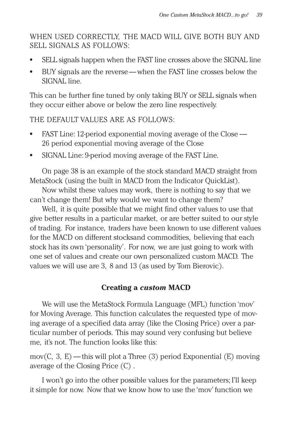WHEN USED CORRECTLY, THE MACD WILL GIVE BOTH BUY AND SELL SIGNALS AS FOLLOWS:

- **•** SELL signals happen when the FAST line crosses above the SIGNAL line
- **•** BUY signals are the reverse— when the FAST line crosses below the SIGNAL line.

This can be further fine tuned by only taking BUY or SELL signals when they occur either above or below the zero line respectively.

THE DEFAULT VALUES ARE AS FOLLOWS:

- **•** FAST Line: 12-period exponential moving average of the Close 26 period exponential moving average of the Close
- **•** SIGNAL Line: 9-period moving average of the FAST Line.

On page 38 is an example of the stock standard MACD straight from MetaStock (using the built in MACD from the Indicator QuickList).

Now whilst these values may work, there is nothing to say that we can't change them! But why would we want to change them?

Well, it is quite possible that we might find other values to use that give better results in a particular market, or are better suited to our style of trading. For instance, traders have been known to use different values for the MACD on different stocksand commodities, believing that each stock has its own 'personality'. For now, we are just going to work with one set of values and create our own personalized custom MACD. The values we will use are 3, 8 and 13 (as used by Tom Bierovic).

#### **Creating a** *custom* **MACD**

We will use the MetaStock Formula Language (MFL) function 'mov' for Moving Average. This function calculates the requested type of moving average of a specified data array (like the Closing Price) over a particular number of periods. This may sound very confusing but believe me, it's not. The function looks like this:

mov(C, 3, E) — this will plot a Three (3) period Exponential (E) moving average of the Closing Price (C) .

I won't go into the other possible values for the parameters; I'll keep it simple for now. Now that we know how to use the 'mov' function we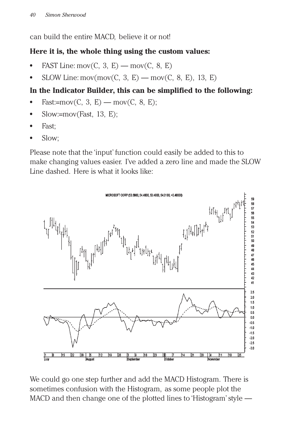can build the entire MACD, believe it or not!

## **Here it is, the whole thing using the custom values:**

- **FAST** Line: mov $(C, 3, E)$  mov $(C, 8, E)$
- **SLOW** Line: mov(mov(C, 3, E) mov(C, 8, E), 13, E)

# **In the Indicator Builder, this can be simplified to the following:**

- $Fast:=mov(C, 3, E)$  mov $(C, 8, E)$ ;
- **•** Slow:=mov(Fast, 13, E);
- **•** Fast;
- **•** Slow;

Please note that the 'input' function could easily be added to this to make changing values easier. I've added a zero line and made the SLOW Line dashed. Here is what it looks like:



We could go one step further and add the MACD Histogram. There is sometimes confusion with the Histogram, as some people plot the MACD and then change one of the plotted lines to 'Histogram' style —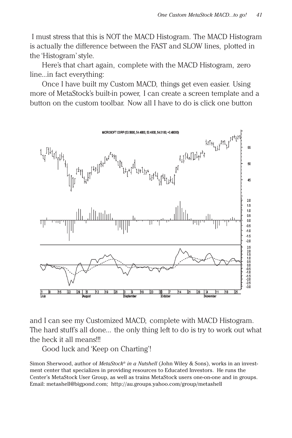I must stress that this is NOT the MACD Histogram. The MACD Histogram is actually the difference between the FAST and SLOW lines, plotted in the 'Histogram' style.

Here's that chart again, complete with the MACD Histogram, zero line...in fact everything:

Once I have built my Custom MACD, things get even easier. Using more of MetaStock's built-in power, I can create a screen template and a button on the custom toolbar. Now all I have to do is click one button



and I can see my Customized MACD, complete with MACD Histogram. The hard stuff's all done... the only thing left to do is try to work out what the heck it all means!!!

Good luck and 'Keep on Charting'!

Simon Sherwood, author of *MetaStock® in a Nutshell* (John Wiley & Sons), works in an investment center that specializes in providing resources to Educated Investors. He runs the Center's MetaStock User Group, as well as trains MetaStock users one-on-one and in groups. Email: metashell@bigpond.com; http://au.groups.yahoo.com/group/metashell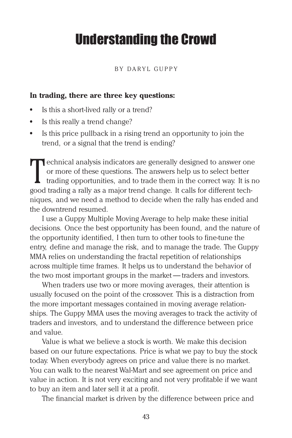# Understanding the Crowd

#### BY DARYL GUPPY

#### **In trading, there are three key questions:**

- **•** Is this a short-lived rally or a trend?
- **•** Is this really a trend change?
- **•** Is this price pullback in a rising trend an opportunity to join the trend, or a signal that the trend is ending?

Technical analysis indicators are generally designed to answer one<br>or more of these questions. The answers help us to select better<br>trading opportunities, and to trade them in the correct way. It is n<br>good trading a rally or more of these questions. The answers help us to select better trading opportunities, and to trade them in the correct way. It is no good trading a rally as a major trend change. It calls for different techniques, and we need a method to decide when the rally has ended and the downtrend resumed.

I use a Guppy Multiple Moving Average to help make these initial decisions. Once the best opportunity has been found, and the nature of the opportunity identified, I then turn to other tools to fine-tune the entry, define and manage the risk, and to manage the trade. The Guppy MMA relies on understanding the fractal repetition of relationships across multiple time frames. It helps us to understand the behavior of the two most important groups in the market — traders and investors.

When traders use two or more moving averages, their attention is usually focused on the point of the crossover. This is a distraction from the more important messages contained in moving average relationships. The Guppy MMA uses the moving averages to track the activity of traders and investors, and to understand the difference between price and value.

Value is what we believe a stock is worth. We make this decision based on our future expectations. Price is what we pay to buy the stock today. When everybody agrees on price and value there is no market. You can walk to the nearest Wal-Mart and see agreement on price and value in action. It is not very exciting and not very profitable if we want to buy an item and later sell it at a profit.

The financial market is driven by the difference between price and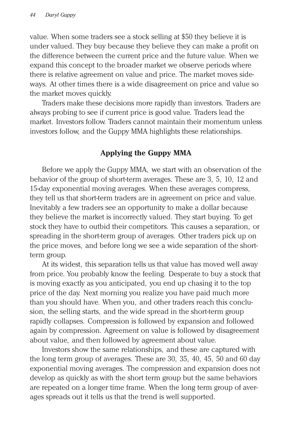value. When some traders see a stock selling at \$50 they believe it is under valued. They buy because they believe they can make a profit on the difference between the current price and the future value. When we expand this concept to the broader market we observe periods where there is relative agreement on value and price. The market moves sideways. At other times there is a wide disagreement on price and value so the market moves quickly.

Traders make these decisions more rapidly than investors. Traders are always probing to see if current price is good value. Traders lead the market. Investors follow. Traders cannot maintain their momentum unless investors follow, and the Guppy MMA highlights these relationships.

#### **Applying the Guppy MMA**

Before we apply the Guppy MMA, we start with an observation of the behavior of the group of short-term averages. These are 3, 5, 10, 12 and 15-day exponential moving averages. When these averages compress, they tell us that short-term traders are in agreement on price and value. Inevitably a few traders see an opportunity to make a dollar because they believe the market is incorrectly valued. They start buying. To get stock they have to outbid their competitors. This causes a separation, or spreading in the short-term group of averages. Other traders pick up on the price moves, and before long we see a wide separation of the shortterm group.

At its widest, this separation tells us that value has moved well away from price. You probably know the feeling. Desperate to buy a stock that is moving exactly as you anticipated, you end up chasing it to the top price of the day. Next morning you realize you have paid much more than you should have. When you, and other traders reach this conclusion, the selling starts, and the wide spread in the short-term group rapidly collapses. Compression is followed by expansion and followed again by compression. Agreement on value is followed by disagreement about value, and then followed by agreement about value.

Investors show the same relationships, and these are captured with the long term group of averages. These are 30, 35, 40, 45, 50 and 60 day exponential moving averages. The compression and expansion does not develop as quickly as with the short term group but the same behaviors are repeated on a longer time frame. When the long term group of averages spreads out it tells us that the trend is well supported.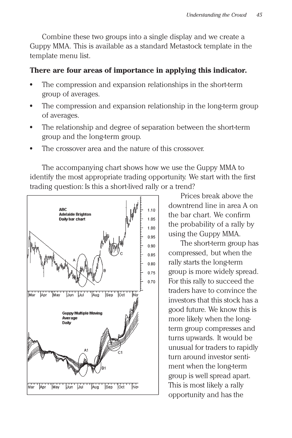Combine these two groups into a single display and we create a Guppy MMA. This is available as a standard Metastock template in the template menu list.

#### **There are four areas of importance in applying this indicator.**

- **•** The compression and expansion relationships in the short-term group of averages.
- The compression and expansion relationship in the long-term group of averages.
- **•** The relationship and degree of separation between the short-term group and the long-term group.
- **•** The crossover area and the nature of this crossover.

The accompanying chart shows how we use the Guppy MMA to identify the most appropriate trading opportunity. We start with the first trading question: Is this a short-lived rally or a trend?



Prices break above the downtrend line in area A on the bar chart. We confirm the probability of a rally by using the Guppy MMA.

The short-term group has compressed, but when the rally starts the long-term group is more widely spread. For this rally to succeed the traders have to convince the investors that this stock has a good future. We know this is more likely when the longterm group compresses and turns upwards. It would be unusual for traders to rapidly turn around investor sentiment when the long-term group is well spread apart. This is most likely a rally opportunity and has the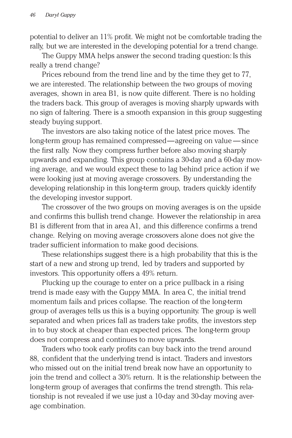potential to deliver an 11% profit. We might not be comfortable trading the rally, but we are interested in the developing potential for a trend change.

The Guppy MMA helps answer the second trading question: Is this really a trend change?

Prices rebound from the trend line and by the time they get to 77, we are interested. The relationship between the two groups of moving averages, shown in area B1, is now quite different. There is no holding the traders back. This group of averages is moving sharply upwards with no sign of faltering. There is a smooth expansion in this group suggesting steady buying support.

The investors are also taking notice of the latest price moves. The long-term group has remained compressed—agreeing on value — since the first rally. Now they compress further before also moving sharply upwards and expanding. This group contains a 30-day and a 60-day moving average, and we would expect these to lag behind price action if we were looking just at moving average crossovers. By understanding the developing relationship in this long-term group, traders quickly identify the developing investor support.

The crossover of the two groups on moving averages is on the upside and confirms this bullish trend change. However the relationship in area B1 is different from that in area A1, and this difference confirms a trend change. Relying on moving average crossovers alone does not give the trader sufficient information to make good decisions.

These relationships suggest there is a high probability that this is the start of a new and strong up trend, led by traders and supported by investors. This opportunity offers a 49% return.

Plucking up the courage to enter on a price pullback in a rising trend is made easy with the Guppy MMA. In area C, the initial trend momentum fails and prices collapse. The reaction of the long-term group of averages tells us this is a buying opportunity. The group is well separated and when prices fall as traders take profits, the investors step in to buy stock at cheaper than expected prices. The long-term group does not compress and continues to move upwards.

Traders who took early profits can buy back into the trend around 88, confident that the underlying trend is intact. Traders and investors who missed out on the initial trend break now have an opportunity to join the trend and collect a 30% return. It is the relationship between the long-term group of averages that confirms the trend strength. This relationship is not revealed if we use just a 10-day and 30-day moving average combination.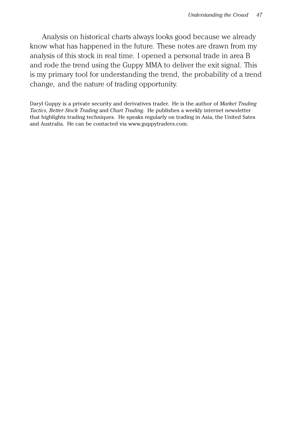Analysis on historical charts always looks good because we already know what has happened in the future. These notes are drawn from my analysis of this stock in real time. I opened a personal trade in area B and rode the trend using the Guppy MMA to deliver the exit signal. This is my primary tool for understanding the trend, the probability of a trend change, and the nature of trading opportunity.

Daryl Guppy is a private security and derivatives trader. He is the author of *Market Trading Tactics, Better Stock Trading* and *Chart Trading*. He publishes a weekly internet newsletter that highlights trading techniques. He speaks regularly on trading in Asia, the United Sates and Australia. He can be contacted via www.guppytraders.com.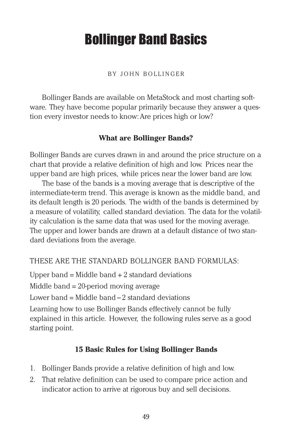# Bollinger Band Basics

#### BY JOHN BOLLINGER

Bollinger Bands are available on MetaStock and most charting software. They have become popular primarily because they answer a question every investor needs to know: Are prices high or low?

#### **What are Bollinger Bands?**

Bollinger Bands are curves drawn in and around the price structure on a chart that provide a relative definition of high and low. Prices near the upper band are high prices, while prices near the lower band are low.

The base of the bands is a moving average that is descriptive of the intermediate-term trend. This average is known as the middle band, and its default length is 20 periods. The width of the bands is determined by a measure of volatility, called standard deviation. The data for the volatility calculation is the same data that was used for the moving average. The upper and lower bands are drawn at a default distance of two standard deviations from the average.

#### THESE ARE THE STANDARD BOLLINGER BAND FORMULAS:

Upper band  $=$  Middle band  $+$  2 standard deviations

Middle band = 20-period moving average

Lower band  $=$  Middle band  $-2$  standard deviations

Learning how to use Bollinger Bands effectively cannot be fully explained in this article. However, the following rules serve as a good starting point.

## **15 Basic Rules for Using Bollinger Bands**

- 1. Bollinger Bands provide a relative definition of high and low.
- 2. That relative definition can be used to compare price action and indicator action to arrive at rigorous buy and sell decisions.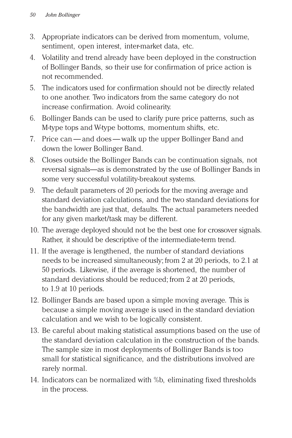- 3. Appropriate indicators can be derived from momentum, volume, sentiment, open interest, inter-market data, etc.
- 4. Volatility and trend already have been deployed in the construction of Bollinger Bands, so their use for confirmation of price action is not recommended.
- 5. The indicators used for confirmation should not be directly related to one another. Two indicators from the same category do not increase confirmation. Avoid colinearity.
- 6. Bollinger Bands can be used to clarify pure price patterns, such as M-type tops and W-type bottoms, momentum shifts, etc.
- 7. Price can and does walk up the upper Bollinger Band and down the lower Bollinger Band.
- 8. Closes outside the Bollinger Bands can be continuation signals, not reversal signals—as is demonstrated by the use of Bollinger Bands in some very successful volatility-breakout systems.
- 9. The default parameters of 20 periods for the moving average and standard deviation calculations, and the two standard deviations for the bandwidth are just that, defaults. The actual parameters needed for any given market/task may be different.
- 10. The average deployed should not be the best one for crossover signals. Rather, it should be descriptive of the intermediate-term trend.
- 11. If the average is lengthened, the number of standard deviations needs to be increased simultaneously; from 2 at 20 periods, to 2.1 at 50 periods. Likewise, if the average is shortened, the number of standard deviations should be reduced; from 2 at 20 periods, to 1.9 at 10 periods.
- 12. Bollinger Bands are based upon a simple moving average. This is because a simple moving average is used in the standard deviation calculation and we wish to be logically consistent.
- 13. Be careful about making statistical assumptions based on the use of the standard deviation calculation in the construction of the bands. The sample size in most deployments of Bollinger Bands is too small for statistical significance, and the distributions involved are rarely normal.
- 14. Indicators can be normalized with %b, eliminating fixed thresholds in the process.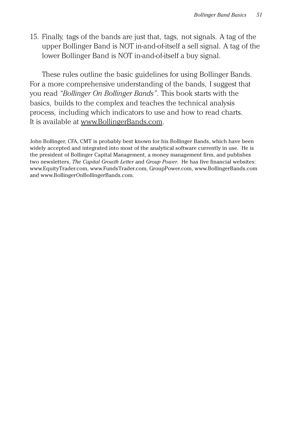15. Finally, tags of the bands are just that, tags, not signals. A tag of the upper Bollinger Band is NOT in-and-of-itself a sell signal. A tag of the lower Bollinger Band is NOT in-and-of-itself a buy signal.

These rules outline the basic guidelines for using Bollinger Bands. For a more comprehensive understanding of the bands, I suggest that you read *"Bollinger On Bollinger Bands"*. This book starts with the basics, builds to the complex and teaches the technical analysis process, including which indicators to use and how to read charts. It is available at www.BollingerBands.com.

John Bollinger, CFA, CMT is probably best known for his Bollinger Bands, which have been widely accepted and integrated into most of the analytical software currently in use. He is the president of Bollinger Capital Management, a money management firm, and publishes two newsletters, *The Capital Growth Letter* and *Group Power*. He has five financial websites: www.EquityTrader.com, www.FundsTrader.com, GroupPower.com, www.BollingerBands.com and www.BollingerOnBollingerBands.com.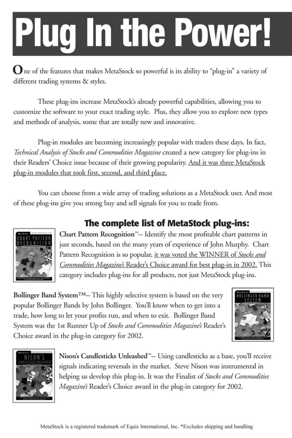# **Plug In the Power!**

One of the features that makes MetaStock so powerful is its ability to "plug-in" a variety of different trading systems & styles.

These plug-ins increase MetaStock's already powerful capabilities, allowing you to customize the software to your exact trading style. Plus, they allow you to explore new types and methods of analysis, some that are totally new and innovative.

Plug-in modules are becoming increasingly popular with traders these days. In fact, Technical Analysis of Stocks and Commodities Magazine created a new category for plug-ins in their Readers' Choice issue because of their growing popularity. And it was three MetaStock plug-in modules that took first, second, and third place.

You can choose from a wide array of trading solutions as a MetaStock user. And most of these plug-ins give you strong buy and sell signals for you to trade from.



# The complete list of MetaStock plug-ins:

Chart Pattern Recognition™-- Identify the most profitable chart patterns in just seconds, based on the many years of experience of John Murphy. Chart Pattern Recognition is so popular, it was voted the WINNER of Stocks and Commodities Magazine's Reader's Choice award for best plug-in in 2002. This category includes plug-ins for all products, not just MetaStock plug-ins.

Bollinger Band System<sup>TM</sup>-- This highly selective system is based on the very popular Bollinger Bands by John Bollinger. You'll know when to get into a trade, how long to let your profits run, and when to exit. Bollinger Band System was the 1st Runner Up of Stocks and Commodities Magazine's Reader's Choice award in the plug-in category for 2002.





Nison's Candlesticks Unleashed<sup>154</sup>-- Using candlesticks as a base, you'll receive signals indicating reversals in the market. Steve Nison was instrumental in helping us develop this plug-in. It was the Finalist of Stocks and Commodities Magazine's Reader's Choice award in the plug-in category for 2002.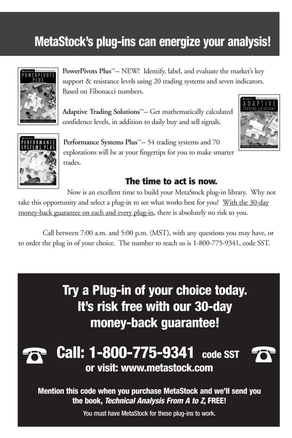# MetaStock's plug-ins can energize your analysis!



PowerPivots Plus<sup>74</sup>-- NEW! Identify, label, and evaluate the market's key support & resistance levels using 20 trading systems and seven indicators. Based on Fibonacci numbers.

Adaptive Trading Solutions™-- Get mathematically calculated confidence levels, in addition to daily buy and sell signals.





Performance Systems Plus™-- 54 trading systems and 70 explorations will be at your fingertips for you to make smarter trades.

# The time to act is now.

Now is an excellent time to build your MetaStock plug-in library. Why not take this opportunity and select a plug-in to see what works best for you? With the 30-day money-back guarantee on each and every plug-in, there is absolutely no risk to you.

Call between 7:00 a.m. and 5:00 p.m. (MST), with any questions you may have, or to order the plug in of your choice. The number to reach us is 1-800-775-9341, code SST.

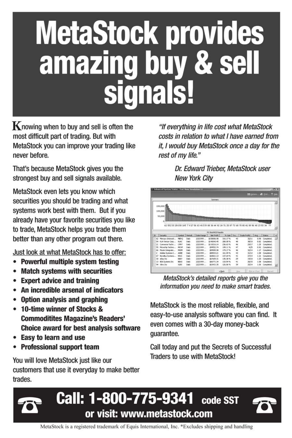# **MetaStock provides<br>amazing buy & sell** signals!

 $\mathbf K$  nowing when to buy and sell is often the most difficult part of trading. But with MetaStock you can improve your trading like never before.

That's because MetaStock gives you the strongest buy and sell signals available.

MetaStock even lets you know which securities you should be trading and what systems work best with them. But if you already have your favorite securities you like to trade, MetaStock helps you trade them better than any other program out there.

Just look at what MetaStock has to offer:

- Powerful multiple system testing  $\bullet$
- **Match systems with securities**  $\bullet$
- Expert advice and training
- An incredible arsenal of indicators
- Option analysis and graphing
- 10-time winner of Stocks & **Commoditites Magazine's Readers' Choice award for best analysis software**
- Easy to learn and use
- Professional support team

You will love MetaStock just like our customers that use it everyday to make better trades.

"If everything in life cost what MetaStock costs in relation to what I have earned from it, I would buy MetaStock once a day for the rest of my life."

> Dr. Edward Trieber, MetaStock user **New York City**

|                                             | <b>Enhanced System Tester - Test View Simulation LL</b> |             |         |            |                      |             |      |                                                                                                     |                   |                | $-10x$         |
|---------------------------------------------|---------------------------------------------------------|-------------|---------|------------|----------------------|-------------|------|-----------------------------------------------------------------------------------------------------|-------------------|----------------|----------------|
|                                             |                                                         |             |         |            |                      |             |      |                                                                                                     | III Group 45 foot |                | <b>2 Hotel</b> |
|                                             |                                                         |             |         |            | Summary              |             |      |                                                                                                     |                   |                |                |
|                                             |                                                         |             |         |            |                      |             |      |                                                                                                     |                   |                | Ξ              |
|                                             | 150,000                                                 |             |         |            |                      |             |      |                                                                                                     |                   |                |                |
|                                             | 100,000                                                 |             |         |            |                      |             |      |                                                                                                     |                   |                |                |
|                                             |                                                         |             |         |            |                      |             |      |                                                                                                     |                   |                |                |
|                                             | <b>50,000</b>                                           |             |         |            |                      |             |      |                                                                                                     |                   |                |                |
|                                             |                                                         |             |         |            |                      |             |      |                                                                                                     |                   |                |                |
|                                             |                                                         |             |         |            |                      |             |      |                                                                                                     |                   |                |                |
|                                             |                                                         |             |         |            |                      |             |      | 62 552 10 28 6 58 145 7 4 17 56 63 46 3 39 88 36 44 92 24 71 25 87 73 68 70 80 41 89 96 40 23 50 34 |                   | $\overline{1}$ |                |
|                                             |                                                         |             |         |            |                      |             |      |                                                                                                     |                   |                |                |
|                                             |                                                         |             |         |            | PS Short-RSI Results |             |      |                                                                                                     |                   |                |                |
| <b>ID</b>                                   | Security                                                | Symbol      | Period. | Date Range | <b>Net Foots</b>     | % Gan   Tra |      | Trade Profit [   Avg.    Status                                                                     |                   |                | $\overline{ }$ |
| $\overline{\phantom{a}}$<br>62              | Mercury Siteracti                                       | MERO        | Dalv    | 2/3/1999   | \$158056.98          | 316.17%     | 43   | 32/11                                                                                               | 0.98              | Completed.     |                |
| 54                                          | <b>KLA-Tencor Corp</b>                                  | KLAC        | Daly    | 2/3/1999   | \$140040.45          | 290.08%     | 40   | 30/10                                                                                               | 0.82              | Completed.     |                |
| $\begin{array}{c} \hline \end{array}$<br>21 | Comverse Techn                                          | ONT         | Daly    | 2/3/1999   | \$119316.14          | 236.63%     | 46   | 29/17                                                                                               | 1.25              | Completed.     |                |
| ×<br>55                                     | Menghin Techno                                          | <b>NO</b> P | Dalv    | 2/2/1999   | 199552.74            | 199, 11%    | 47   | 4275                                                                                                | 0.92              | Concleted.     |                |
| ×<br>66                                     | Maxim Integrate                                         | MICON       | Daily   | 2/3/1999   | \$59555.98           | 179.17%     | 46   | 32/14                                                                                               | 1.17              | Completed.     |                |
| $\blacksquare$<br>ż                         | Adobe Systems L.                                        | ADBE        | Daly    | 2/3/1999   | \$00543.21           | 161.09%     | 43   | 31/12                                                                                               | 1.00              | Completed.     |                |
| 67<br>×                                     | Novelka Systems                                         | NVL5        | Daly    | 2/3/1999   | \$68821.13           | 137.64%     | 41   | 27/14                                                                                               | 1.21              | Conpleted.     |                |
| $\begin{array}{c} \hline \end{array}$<br>30 | obay Inc.                                               | <b>FRAY</b> | Daly    | 2/3/1999   | \$67699.31           | 135.38%     | 26   | 19/10                                                                                               | 1.20              | Completed.     |                |
| ▣<br>13                                     | <b>BEA Systems Inc.</b>                                 | <b>BEAS</b> | Daly    | 2/3/1999   | \$66771.34           | 133.54%     | 41   | 26/15                                                                                               | 1.08              | Concleted.     |                |
| 94<br>Ξ                                     | - Kilmo: Inc.                                           | 38700       | Daly    | 2/2/1999   | \$63431.35           | 126.06%     | 39   | 25/14                                                                                               | 1.06              | Conpleted.     |                |
|                                             |                                                         |             |         |            |                      |             |      |                                                                                                     |                   |                |                |
|                                             |                                                         |             |         |            |                      |             | Vina |                                                                                                     | Plat on Chart     | Discord        |                |
|                                             |                                                         |             |         |            |                      | <br>        |      |                                                                                                     |                   |                |                |

MetaStock's detailed reports give you the information you need to make smart trades.

MetaStock is the most reliable, flexible, and easy-to-use analysis software you can find. It even comes with a 30-day money-back quarantee.

Call today and put the Secrets of Successful Traders to use with MetaStock!



MetaStock is a registered trademark of Equis International, Inc. \*Excludes shipping and handling